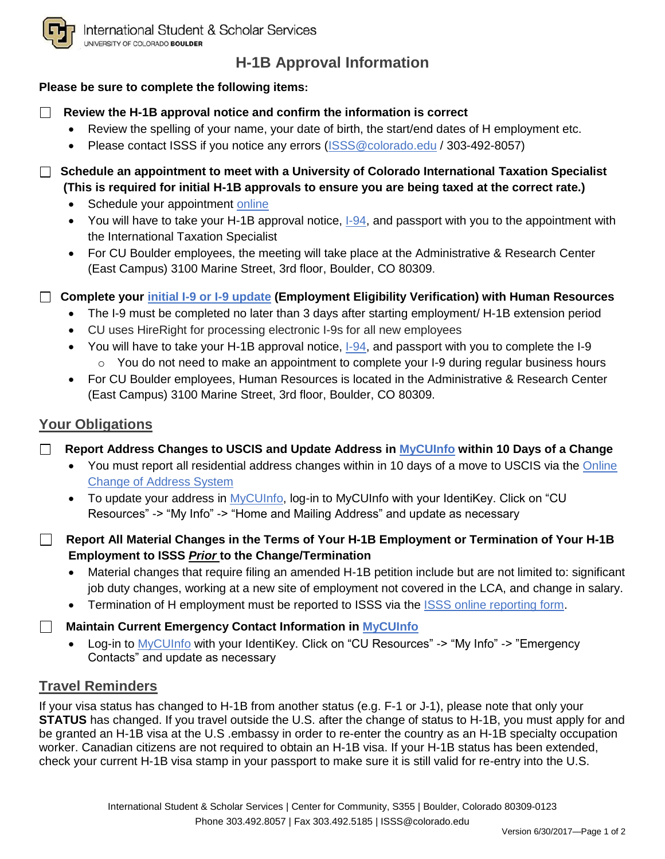

# **H-1B Approval Information**

### **Please be sure to complete the following items:**

### **Review the H-1B approval notice and confirm the information is correct**

- Review the spelling of your name, your date of birth, the start/end dates of H employment etc.
- Please contact ISSS if you notice any errors [\(ISSS@colorado.edu](mailto:ISSS@colorado.edu) / 303-492-8057)
- **Schedule an appointment to meet with a University of Colorado International Taxation Specialist (This is required for initial H-1B approvals to ensure you are being taxed at the correct rate.)**
	- Schedule your appointment [online](https://booknow.appointment-plus.com/43rspqeq/)
	- You will have to take your H-1B approval notice, [I-94,](https://i94.cbp.dhs.gov/I94/#/home) and passport with you to the appointment with the International Taxation Specialist
	- For CU Boulder employees, the meeting will take place at the Administrative & Research Center (East Campus) 3100 Marine Street, 3rd floor, Boulder, CO 80309.
- **Complete your [initial I-9 or I-9 update](http://www.colorado.edu/hr/policies-guidance/i-9-guidance) (Employment Eligibility Verification) with Human Resources** 
	- The I-9 must be completed no later than 3 days after starting employment/ H-1B extension period
	- CU uses HireRight for processing electronic I-9s for all new employees
	- $\bullet$  You will have to take your H-1B approval notice,  $I-94$ , and passport with you to complete the I-9  $\circ$  You do not need to make an appointment to complete your I-9 during regular business hours
	- For CU Boulder employees, Human Resources is located in the Administrative & Research Center (East Campus) 3100 Marine Street, 3rd floor, Boulder, CO 80309.

## **Your Obligations**

- **Report Address Changes to USCIS and Update Address in [MyCUInfo](https://mycuinfo.colorado.edu/) within 10 Days of a Change**
	- You must report all residential address changes within in 10 days of a move to USCIS via the [Online](https://egov.uscis.gov/coa/displayCOAForm.do)  [Change of Address System](https://egov.uscis.gov/coa/displayCOAForm.do)
	- To update your address in [MyCUInfo,](https://mycuinfo.colorado.edu/) log-in to [MyCUInfo](https://mycuinfo.colorado.edu/) with your IdentiKey. Click on "CU Resources" -> "My Info" -> "Home and Mailing Address" and update as necessary
- **Report All Material Changes in the Terms of Your H-1B Employment or Termination of Your H-1B Employment to ISSS** *Prior* **to the Change/Termination**
	- Material changes that require filing an amended H-1B petition include but are not limited to: significant job duty changes, working at a new site of employment not covered in the LCA, and change in salary.
	- Termination of H employment must be reported to ISSS via the [ISSS online reporting form.](https://na2.docusign.net/member/PowerFormSigning.aspx?PowerFormId=6c35a747-1735-4a5f-a02c-b9423354a58a)

**Maintain Current Emergency Contact Information in [MyCUInfo](https://mycuinfo.colorado.edu/)**

• Log-in to [MyCUInfo](https://mycuinfo.colorado.edu/) with your IdentiKey. Click on "CU Resources" -> "My Info" -> "Emergency" Contacts" and update as necessary

### **Travel Reminders**

If your visa status has changed to H-1B from another status (e.g. F-1 or J-1), please note that only your **STATUS** has changed. If you travel outside the U.S. after the change of status to H-1B, you must apply for and be granted an H-1B visa at the U.S .embassy in order to re-enter the country as an H-1B specialty occupation worker. Canadian citizens are not required to obtain an H-1B visa. If your H-1B status has been extended, check your current H-1B visa stamp in your passport to make sure it is still valid for re-entry into the U.S.